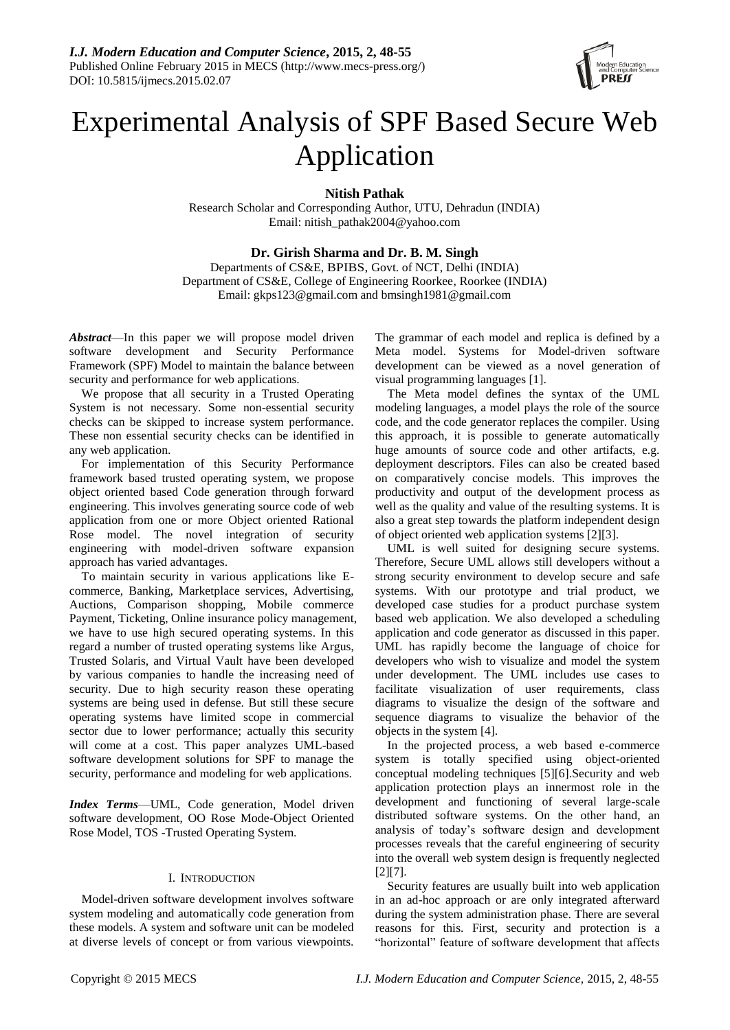

# Experimental Analysis of SPF Based Secure Web Application

**Nitish Pathak**

Research Scholar and Corresponding Author, UTU, Dehradun (INDIA) Email: nitish\_pathak2004@yahoo.com

# **Dr. Girish Sharma and Dr. B. M. Singh**

Departments of CS&E, BPIBS, Govt. of NCT, Delhi (INDIA) Department of CS&E, College of Engineering Roorkee, Roorkee (INDIA) Email: gkps123@gmail.com and bmsingh1981@gmail.com

*Abstract*—In this paper we will propose model driven software development and Security Performance Framework (SPF) Model to maintain the balance between security and performance for web applications.

We propose that all security in a Trusted Operating System is not necessary. Some non-essential security checks can be skipped to increase system performance. These non essential security checks can be identified in any web application.

For implementation of this Security Performance framework based trusted operating system, we propose object oriented based Code generation through forward engineering. This involves generating source code of web application from one or more Object oriented Rational Rose model. The novel integration of security engineering with model-driven software expansion approach has varied advantages.

To maintain security in various applications like Ecommerce, Banking, Marketplace services, Advertising, Auctions, Comparison shopping, Mobile commerce Payment, Ticketing, Online insurance policy management, we have to use high secured operating systems. In this regard a number of trusted operating systems like Argus, Trusted Solaris, and Virtual Vault have been developed by various companies to handle the increasing need of security. Due to high security reason these operating systems are being used in defense. But still these secure operating systems have limited scope in commercial sector due to lower performance; actually this security will come at a cost. This paper analyzes UML-based software development solutions for SPF to manage the security, performance and modeling for web applications.

*Index Terms*—UML, Code generation, Model driven software development, OO Rose Mode-Object Oriented Rose Model, TOS -Trusted Operating System.

## I. INTRODUCTION

Model-driven software development involves software system modeling and automatically code generation from these models. A system and software unit can be modeled at diverse levels of concept or from various viewpoints. The grammar of each model and replica is defined by a Meta model. Systems for Model-driven software development can be viewed as a novel generation of visual programming languages [1].

The Meta model defines the syntax of the UML modeling languages, a model plays the role of the source code, and the code generator replaces the compiler. Using this approach, it is possible to generate automatically huge amounts of source code and other artifacts, e.g. deployment descriptors. Files can also be created based on comparatively concise models. This improves the productivity and output of the development process as well as the quality and value of the resulting systems. It is also a great step towards the platform independent design of object oriented web application systems [2][3].

UML is well suited for designing secure systems. Therefore, Secure UML allows still developers without a strong security environment to develop secure and safe systems. With our prototype and trial product, we developed case studies for a product purchase system based web application. We also developed a scheduling application and code generator as discussed in this paper. UML has rapidly become the language of choice for developers who wish to visualize and model the system under development. The UML includes use cases to facilitate visualization of user requirements, class diagrams to visualize the design of the software and sequence diagrams to visualize the behavior of the objects in the system [4].

In the projected process, a web based e-commerce system is totally specified using object-oriented conceptual modeling techniques [5][6].Security and web application protection plays an innermost role in the development and functioning of several large-scale distributed software systems. On the other hand, an analysis of today's software design and development processes reveals that the careful engineering of security into the overall web system design is frequently neglected [2][7].

Security features are usually built into web application in an ad-hoc approach or are only integrated afterward during the system administration phase. There are several reasons for this. First, security and protection is a "horizontal" feature of software development that affects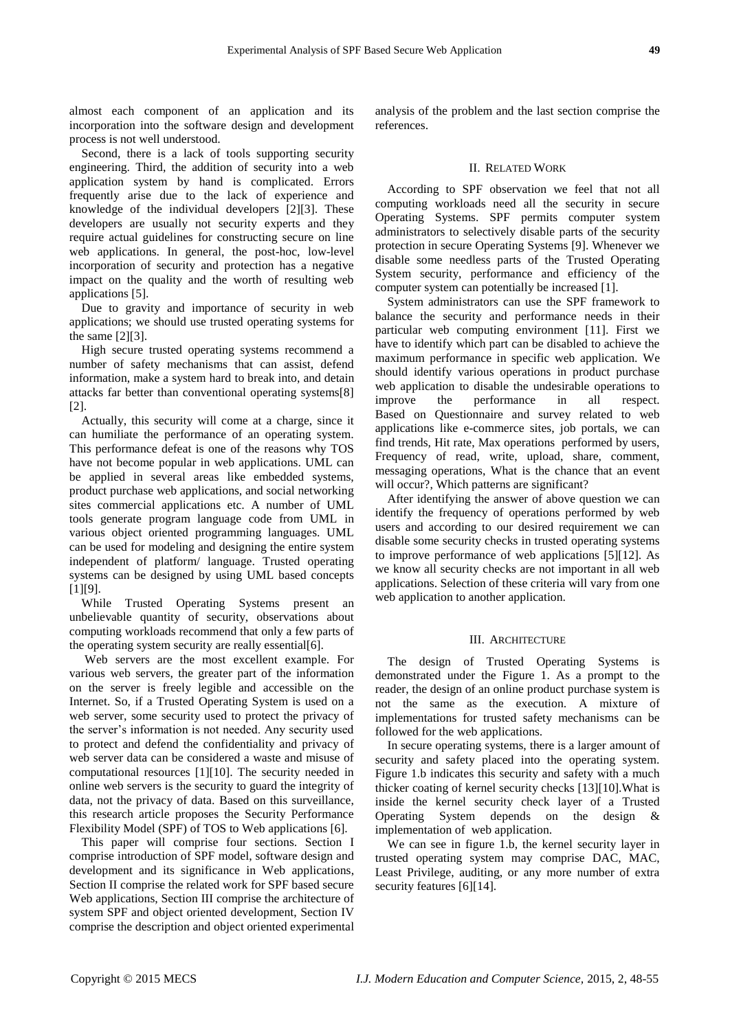almost each component of an application and its incorporation into the software design and development process is not well understood.

Second, there is a lack of tools supporting security engineering. Third, the addition of security into a web application system by hand is complicated. Errors frequently arise due to the lack of experience and knowledge of the individual developers [2][3]. These developers are usually not security experts and they require actual guidelines for constructing secure on line web applications. In general, the post-hoc, low-level incorporation of security and protection has a negative impact on the quality and the worth of resulting web applications [5].

Due to gravity and importance of security in web applications; we should use trusted operating systems for the same [2][3].

High secure trusted operating systems recommend a number of safety mechanisms that can assist, defend information, make a system hard to break into, and detain attacks far better than conventional operating systems[8] [2].

Actually, this security will come at a charge, since it can humiliate the performance of an operating system. This performance defeat is one of the reasons why TOS have not become popular in web applications. UML can be applied in several areas like embedded systems, product purchase web applications, and social networking sites commercial applications etc. A number of UML tools generate program language code from UML in various object oriented programming languages. UML can be used for modeling and designing the entire system independent of platform/ language. Trusted operating systems can be designed by using UML based concepts  $[1]$ [9].

While Trusted Operating Systems present an unbelievable quantity of security, observations about computing workloads recommend that only a few parts of the operating system security are really essential[6].

Web servers are the most excellent example. For various web servers, the greater part of the information on the server is freely legible and accessible on the Internet. So, if a Trusted Operating System is used on a web server, some security used to protect the privacy of the server's information is not needed. Any security used to protect and defend the confidentiality and privacy of web server data can be considered a waste and misuse of computational resources [1][10]. The security needed in online web servers is the security to guard the integrity of data, not the privacy of data. Based on this surveillance, this research article proposes the Security Performance Flexibility Model (SPF) of TOS to Web applications [6].

This paper will comprise four sections. Section I comprise introduction of SPF model, software design and development and its significance in Web applications, Section II comprise the related work for SPF based secure Web applications, Section III comprise the architecture of system SPF and object oriented development, Section IV comprise the description and object oriented experimental analysis of the problem and the last section comprise the references.

# II. RELATED WORK

According to SPF observation we feel that not all computing workloads need all the security in secure Operating Systems. SPF permits computer system administrators to selectively disable parts of the security protection in secure Operating Systems [9]. Whenever we disable some needless parts of the Trusted Operating System security, performance and efficiency of the computer system can potentially be increased [1].

System administrators can use the SPF framework to balance the security and performance needs in their particular web computing environment [11]. First we have to identify which part can be disabled to achieve the maximum performance in specific web application. We should identify various operations in product purchase web application to disable the undesirable operations to improve the performance in all respect. Based on Questionnaire and survey related to web applications like e-commerce sites, job portals, we can find trends, Hit rate, Max operations performed by users, Frequency of read, write, upload, share, comment, messaging operations, What is the chance that an event will occur?, Which patterns are significant?

After identifying the answer of above question we can identify the frequency of operations performed by web users and according to our desired requirement we can disable some security checks in trusted operating systems to improve performance of web applications [5][12]. As we know all security checks are not important in all web applications. Selection of these criteria will vary from one web application to another application.

#### III. ARCHITECTURE

The design of Trusted Operating Systems is demonstrated under the Figure 1. As a prompt to the reader, the design of an online product purchase system is not the same as the execution. A mixture of implementations for trusted safety mechanisms can be followed for the web applications.

In secure operating systems, there is a larger amount of security and safety placed into the operating system. Figure 1.b indicates this security and safety with a much thicker coating of kernel security checks [13][10].What is inside the kernel security check layer of a Trusted Operating System depends on the design & implementation of web application.

We can see in figure 1.b, the kernel security layer in trusted operating system may comprise DAC, MAC, Least Privilege, auditing, or any more number of extra security features [6][14].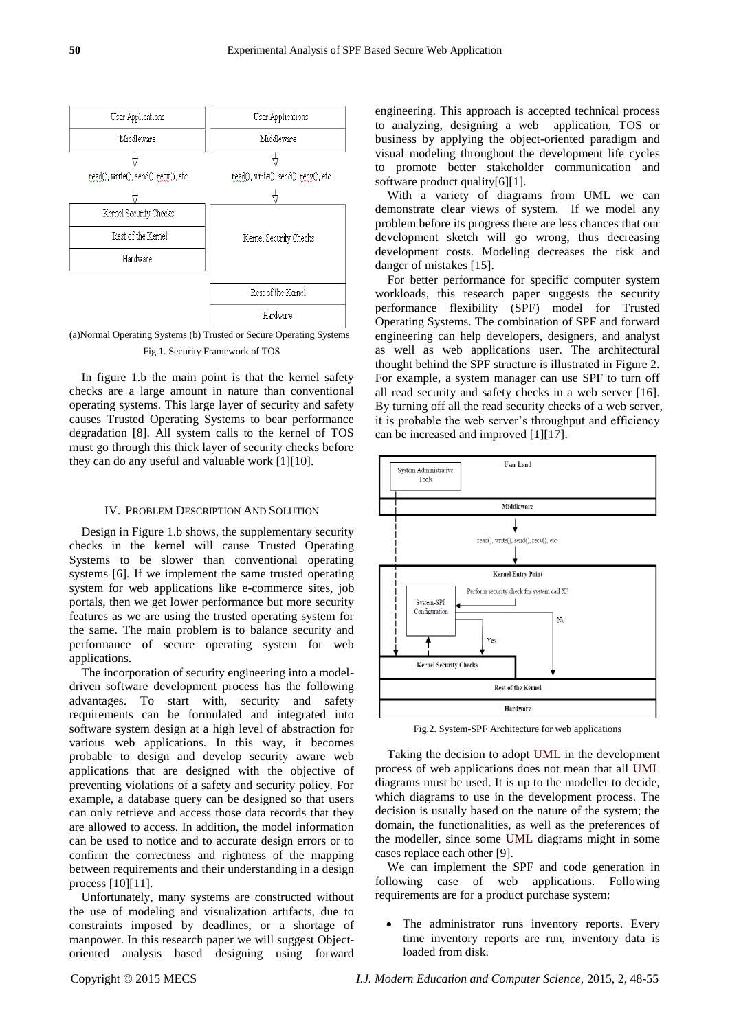

(a)Normal Operating Systems (b) Trusted or Secure Operating Systems Fig.1. Security Framework of TOS

In figure 1.b the main point is that the kernel safety checks are a large amount in nature than conventional operating systems. This large layer of security and safety causes Trusted Operating Systems to bear performance degradation [8]. All system calls to the kernel of TOS must go through this thick layer of security checks before they can do any useful and valuable work [1][10].

#### IV. PROBLEM DESCRIPTION AND SOLUTION

Design in Figure 1.b shows, the supplementary security checks in the kernel will cause Trusted Operating Systems to be slower than conventional operating systems [6]. If we implement the same trusted operating system for web applications like e-commerce sites, job portals, then we get lower performance but more security features as we are using the trusted operating system for the same. The main problem is to balance security and performance of secure operating system for web applications.

The incorporation of security engineering into a modeldriven software development process has the following advantages. To start with, security and safety requirements can be formulated and integrated into software system design at a high level of abstraction for various web applications. In this way, it becomes probable to design and develop security aware web applications that are designed with the objective of preventing violations of a safety and security policy. For example, a database query can be designed so that users can only retrieve and access those data records that they are allowed to access. In addition, the model information can be used to notice and to accurate design errors or to confirm the correctness and rightness of the mapping between requirements and their understanding in a design process [10][11].

Unfortunately, many systems are constructed without the use of modeling and visualization artifacts, due to constraints imposed by deadlines, or a shortage of manpower. In this research paper we will suggest Objectoriented analysis based designing using forward engineering. This approach is accepted technical process to analyzing, designing a web application, TOS or business by applying the object-oriented paradigm and visual modeling throughout the development life cycles to promote better stakeholder communication and software product quality[6][1].

With a variety of diagrams from UML we can demonstrate clear views of system. If we model any problem before its progress there are less chances that our development sketch will go wrong, thus decreasing development costs. Modeling decreases the risk and danger of mistakes [15].

For better performance for specific computer system workloads, this research paper suggests the security performance flexibility (SPF) model for Trusted Operating Systems. The combination of SPF and forward engineering can help developers, designers, and analyst as well as web applications user. The architectural thought behind the SPF structure is illustrated in Figure 2. For example, a system manager can use SPF to turn off all read security and safety checks in a web server [16]. By turning off all the read security checks of a web server, it is probable the web server's throughput and efficiency can be increased and improved [1][17].



Fig.2. System-SPF Architecture for web applications

Taking the decision to adopt UML in the development process of web applications does not mean that all UML diagrams must be used. It is up to the modeller to decide, which diagrams to use in the development process. The decision is usually based on the nature of the system; the domain, the functionalities, as well as the preferences of the modeller, since some UML diagrams might in some cases replace each other [9].

We can implement the SPF and code generation in following case of web applications. Following requirements are for a product purchase system:

 The administrator runs inventory reports. Every time inventory reports are run, inventory data is loaded from disk.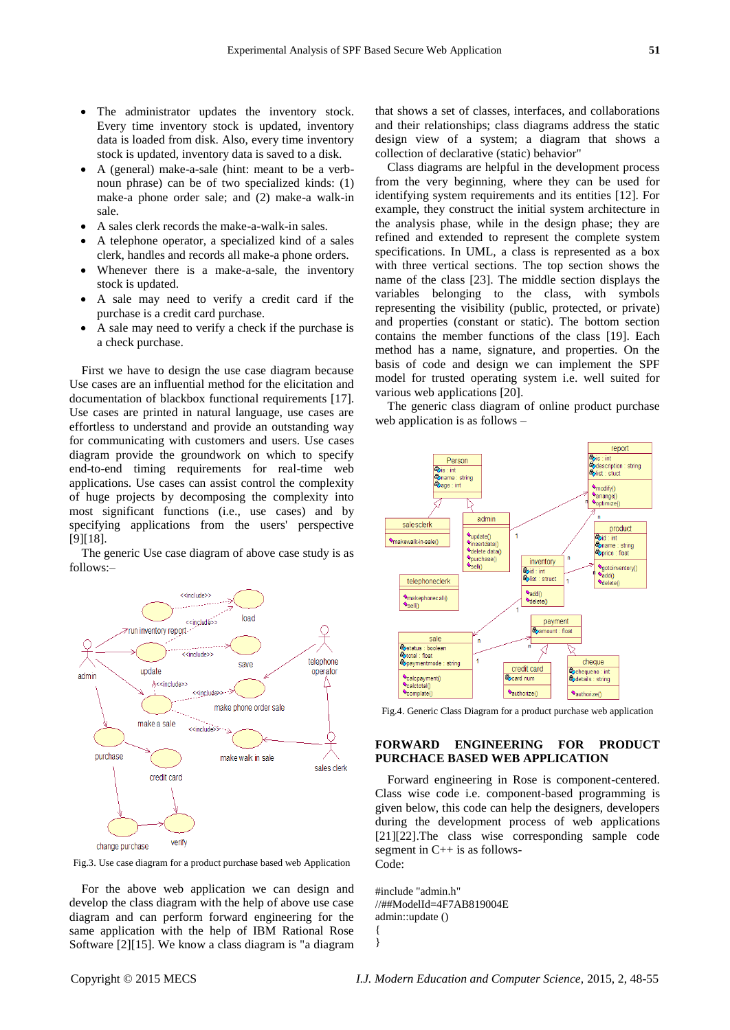- The administrator updates the inventory stock. Every time inventory stock is updated, inventory data is loaded from disk. Also, every time inventory stock is updated, inventory data is saved to a disk.
- A (general) make-a-sale (hint: meant to be a verbnoun phrase) can be of two specialized kinds: (1) make-a phone order sale; and (2) make-a walk-in sale.
- A sales clerk records the make-a-walk-in sales.
- A telephone operator, a specialized kind of a sales clerk, handles and records all make-a phone orders.
- Whenever there is a make-a-sale, the inventory stock is updated.
- A sale may need to verify a credit card if the purchase is a credit card purchase.
- A sale may need to verify a check if the purchase is a check purchase.

First we have to design the use case diagram because Use cases are an influential method for the elicitation and documentation of blackbox functional requirements [17]. Use cases are printed in natural language, use cases are effortless to understand and provide an outstanding way for communicating with customers and users. Use cases diagram provide the groundwork on which to specify end-to-end timing requirements for real-time web applications. Use cases can assist control the complexity of huge projects by decomposing the complexity into most significant functions (i.e., use cases) and by specifying applications from the users' perspective [9][18].

The generic Use case diagram of above case study is as follows:–



Fig.3. Use case diagram for a product purchase based web Application

For the above web application we can design and develop the class diagram with the help of above use case diagram and can perform forward engineering for the same application with the help of IBM Rational Rose Software [2][15]. We know a class diagram is "a diagram that shows a set of classes, interfaces, and collaborations and their relationships; class diagrams address the static design view of a system; a diagram that shows a collection of declarative (static) behavior"

Class diagrams are helpful in the development process from the very beginning, where they can be used for identifying system requirements and its entities [12]. For example, they construct the initial system architecture in the analysis phase, while in the design phase; they are refined and extended to represent the complete system specifications. In UML, a class is represented as a box with three vertical sections. The top section shows the name of the class [23]. The middle section displays the variables belonging to the class, with symbols representing the visibility (public, protected, or private) and properties (constant or static). The bottom section contains the member functions of the class [19]. Each method has a name, signature, and properties. On the basis of code and design we can implement the SPF model for trusted operating system i.e. well suited for various web applications [20].

The generic class diagram of online product purchase web application is as follows –



Fig.4. Generic Class Diagram for a product purchase web application

## **FORWARD ENGINEERING FOR PRODUCT PURCHACE BASED WEB APPLICATION**

Forward engineering in Rose is component-centered. Class wise code i.e. component-based programming is given below, this code can help the designers, developers during the development process of web applications [21][22].The class wise corresponding sample code segment in C++ is as follows-Code:

#include "admin.h" //##ModelId=4F7AB819004E admin::update () {

}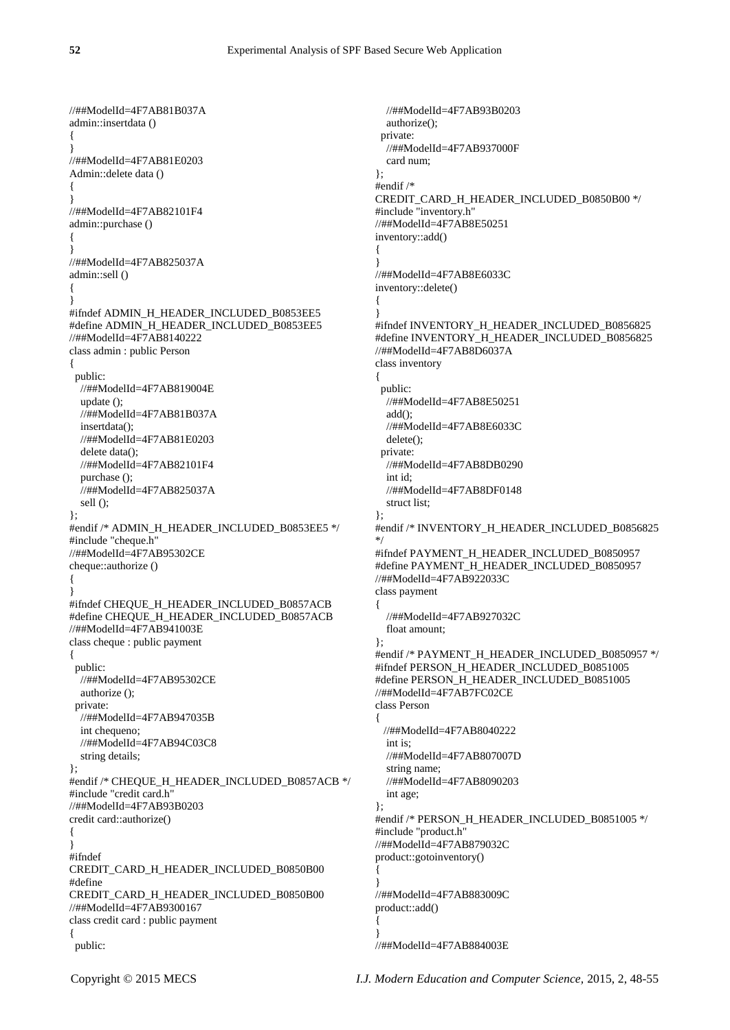//##ModelId=4F7AB81B037A admin::insertdata () { } //##ModelId=4F7AB81E0203 Admin::delete data () { } //##ModelId=4F7AB82101F4 admin::purchase () { } //##ModelId=4F7AB825037A admin::sell () { } #ifndef ADMIN\_H\_HEADER\_INCLUDED\_B0853EE5 #define ADMIN\_H\_HEADER\_INCLUDED\_B0853EE5 //##ModelId=4F7AB8140222 class admin : public Person { public: //##ModelId=4F7AB819004E update (); //##ModelId=4F7AB81B037A insertdata(); //##ModelId=4F7AB81E0203 delete data(); //##ModelId=4F7AB82101F4 purchase (); //##ModelId=4F7AB825037A sell (); }; #endif /\* ADMIN\_H\_HEADER\_INCLUDED\_B0853EE5 \*/ #include "cheque.h" //##ModelId=4F7AB95302CE cheque::authorize () { } #ifndef CHEQUE\_H\_HEADER\_INCLUDED\_B0857ACB #define CHEQUE\_H\_HEADER\_INCLUDED\_B0857ACB //##ModelId=4F7AB941003E class cheque : public payment { public: //##ModelId=4F7AB95302CE authorize (); private: //##ModelId=4F7AB947035B int chequeno; //##ModelId=4F7AB94C03C8 string details; }; #endif /\* CHEQUE\_H\_HEADER\_INCLUDED\_B0857ACB \*/ #include "credit card.h" //##ModelId=4F7AB93B0203 credit card::authorize() { } #ifndef CREDIT\_CARD\_H\_HEADER\_INCLUDED\_B0850B00 #define CREDIT\_CARD\_H\_HEADER\_INCLUDED\_B0850B00 //##ModelId=4F7AB9300167 class credit card : public payment { public:

 //##ModelId=4F7AB93B0203 authorize(); private: //##ModelId=4F7AB937000F card num; }; #endif /\* CREDIT\_CARD\_H\_HEADER\_INCLUDED\_B0850B00 \*/ #include "inventory.h" //##ModelId=4F7AB8E50251 inventory::add() { } //##ModelId=4F7AB8E6033C inventory::delete() { } #ifndef INVENTORY\_H\_HEADER\_INCLUDED\_B0856825 #define INVENTORY\_H\_HEADER\_INCLUDED\_B0856825 //##ModelId=4F7AB8D6037A class inventory { public: //##ModelId=4F7AB8E50251 add(); //##ModelId=4F7AB8E6033C delete(); private: //##ModelId=4F7AB8DB0290 int id; //##ModelId=4F7AB8DF0148 struct list; }; #endif /\* INVENTORY\_H\_HEADER\_INCLUDED\_B0856825 \*/ #ifndef PAYMENT\_H\_HEADER\_INCLUDED\_B0850957 #define PAYMENT\_H\_HEADER\_INCLUDED\_B0850957 //##ModelId=4F7AB922033C class payment { //##ModelId=4F7AB927032C float amount; }; #endif /\* PAYMENT\_H\_HEADER\_INCLUDED\_B0850957 \*/ #ifndef PERSON\_H\_HEADER\_INCLUDED\_B0851005 #define PERSON\_H\_HEADER\_INCLUDED\_B0851005 //##ModelId=4F7AB7FC02CE class Person { //##ModelId=4F7AB8040222 int is; //##ModelId=4F7AB807007D string name; //##ModelId=4F7AB8090203 int age; }; #endif /\* PERSON\_H\_HEADER\_INCLUDED\_B0851005 \*/ #include "product.h" //##ModelId=4F7AB879032C product::gotoinventory() { } //##ModelId=4F7AB883009C product::add() { } //##ModelId=4F7AB884003E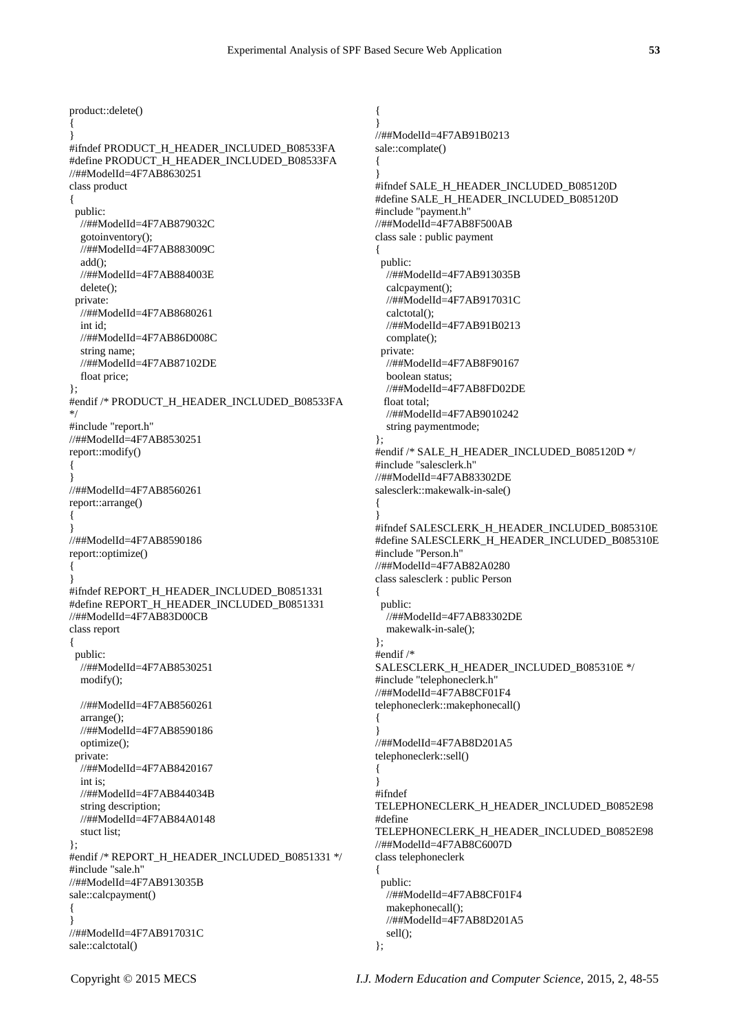{ } #ifndef PRODUCT\_H\_HEADER\_INCLUDED\_B08533FA #define PRODUCT\_H\_HEADER\_INCLUDED\_B08533FA //##ModelId=4F7AB8630251 class product { public: //##ModelId=4F7AB879032C gotoinventory(); //##ModelId=4F7AB883009C add(); //##ModelId=4F7AB884003E delete(); private: //##ModelId=4F7AB8680261 int id; //##ModelId=4F7AB86D008C string name; //##ModelId=4F7AB87102DE float price; }; #endif /\* PRODUCT\_H\_HEADER\_INCLUDED\_B08533FA \*/ #include "report.h" //##ModelId=4F7AB8530251 report::modify() { } //##ModelId=4F7AB8560261 report::arrange() { } //##ModelId=4F7AB8590186 report::optimize() { } #ifndef REPORT\_H\_HEADER\_INCLUDED\_B0851331 #define REPORT\_H\_HEADER\_INCLUDED\_B0851331 //##ModelId=4F7AB83D00CB class report { public: //##ModelId=4F7AB8530251 modify(); //##ModelId=4F7AB8560261 arrange(); //##ModelId=4F7AB8590186 optimize(); private: //##ModelId=4F7AB8420167 int is; //##ModelId=4F7AB844034B string description; //##ModelId=4F7AB84A0148 stuct list; }; #endif /\* REPORT\_H\_HEADER\_INCLUDED\_B0851331 \*/ #include "sale.h" //##ModelId=4F7AB913035B sale::calcpayment() { } //##ModelId=4F7AB917031C sale::calctotal()

product::delete()

{ } //##ModelId=4F7AB91B0213 sale::complate() { } #ifndef SALE\_H\_HEADER\_INCLUDED\_B085120D #define SALE\_H\_HEADER\_INCLUDED\_B085120D #include "payment.h" //##ModelId=4F7AB8F500AB class sale : public payment { public: //##ModelId=4F7AB913035B calcpayment(); //##ModelId=4F7AB917031C calctotal(); //##ModelId=4F7AB91B0213 complate(); private: //##ModelId=4F7AB8F90167 boolean status; //##ModelId=4F7AB8FD02DE float total; //##ModelId=4F7AB9010242 string paymentmode; }; #endif /\* SALE\_H\_HEADER\_INCLUDED\_B085120D \*/ #include "salesclerk.h" //##ModelId=4F7AB83302DE salesclerk::makewalk-in-sale() { } #ifndef SALESCLERK\_H\_HEADER\_INCLUDED\_B085310E #define SALESCLERK\_H\_HEADER\_INCLUDED\_B085310E #include "Person.h" //##ModelId=4F7AB82A0280 class salesclerk : public Person { public: //##ModelId=4F7AB83302DE makewalk-in-sale(); }; #endif /\* SALESCLERK\_H\_HEADER\_INCLUDED\_B085310E \*/ #include "telephoneclerk.h" //##ModelId=4F7AB8CF01F4 telephoneclerk::makephonecall() { } //##ModelId=4F7AB8D201A5 telephoneclerk::sell() { } #ifndef TELEPHONECLERK\_H\_HEADER\_INCLUDED\_B0852E98 #define TELEPHONECLERK\_H\_HEADER\_INCLUDED\_B0852E98 //##ModelId=4F7AB8C6007D class telephoneclerk { public: //##ModelId=4F7AB8CF01F4 makephonecall(); //##ModelId=4F7AB8D201A5

 sell(); };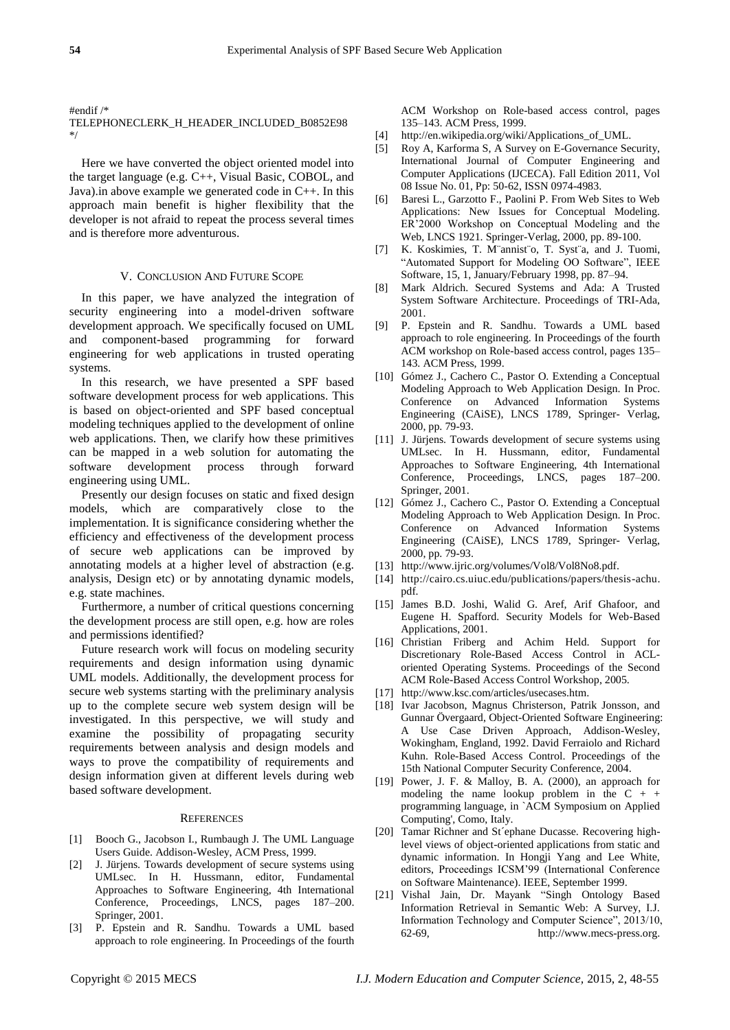#endif /\*

## TELEPHONECLERK\_H\_HEADER\_INCLUDED\_B0852E98 \*/

Here we have converted the object oriented model into the target language (e.g. C++, Visual Basic, COBOL, and Java).in above example we generated code in C++. In this approach main benefit is higher flexibility that the developer is not afraid to repeat the process several times and is therefore more adventurous.

#### V. CONCLUSION AND FUTURE SCOPE

In this paper, we have analyzed the integration of security engineering into a model-driven software development approach. We specifically focused on UML and component-based programming for forward engineering for web applications in trusted operating systems.

In this research, we have presented a SPF based software development process for web applications. This is based on object-oriented and SPF based conceptual modeling techniques applied to the development of online web applications. Then, we clarify how these primitives can be mapped in a web solution for automating the software development process through forward engineering using UML.

Presently our design focuses on static and fixed design models, which are comparatively close to the implementation. It is significance considering whether the efficiency and effectiveness of the development process of secure web applications can be improved by annotating models at a higher level of abstraction (e.g. analysis, Design etc) or by annotating dynamic models, e.g. state machines.

Furthermore, a number of critical questions concerning the development process are still open, e.g. how are roles and permissions identified?

Future research work will focus on modeling security requirements and design information using dynamic UML models. Additionally, the development process for secure web systems starting with the preliminary analysis up to the complete secure web system design will be investigated. In this perspective, we will study and examine the possibility of propagating security requirements between analysis and design models and ways to prove the compatibility of requirements and design information given at different levels during web based software development.

#### **REFERENCES**

- [1] Booch G., Jacobson I., Rumbaugh J. The UML Language Users Guide. Addison-Wesley, ACM Press, 1999.
- [2] J. Jürjens. Towards development of secure systems using UMLsec. In H. Hussmann, editor, Fundamental Approaches to Software Engineering, 4th International Conference, Proceedings, LNCS, pages 187–200. Springer, 2001.
- [3] P. Epstein and R. Sandhu. Towards a UML based approach to role engineering. In Proceedings of the fourth

ACM Workshop on Role-based access control, pages 135–143. ACM Press, 1999.

- [4] http://en.wikipedia.org/wiki/Applications\_of\_UML.
- [5] Roy A, Karforma S, A Survey on E-Governance Security, International Journal of Computer Engineering and Computer Applications (IJCECA). Fall Edition 2011, Vol 08 Issue No. 01, Pp: 50-62, ISSN 0974-4983.
- [6] Baresi L., Garzotto F., Paolini P. From Web Sites to Web Applications: New Issues for Conceptual Modeling. ER'2000 Workshop on Conceptual Modeling and the Web, LNCS 1921. Springer-Verlag, 2000, pp. 89-100.
- [7] K. Koskimies, T. M¨annist¨o, T. Syst¨a, and J. Tuomi, "Automated Support for Modeling OO Software", IEEE Software, 15, 1, January/February 1998, pp. 87–94.
- [8] Mark Aldrich. Secured Systems and Ada: A Trusted System Software Architecture. Proceedings of TRI-Ada, 2001.
- [9] P. Epstein and R. Sandhu. Towards a UML based approach to role engineering. In Proceedings of the fourth ACM workshop on Role-based access control, pages 135– 143. ACM Press, 1999.
- [10] Gómez J., Cachero C., Pastor O. Extending a Conceptual Modeling Approach to Web Application Design. In Proc. Conference on Advanced Information Systems Engineering (CAiSE), LNCS 1789, Springer- Verlag, 2000, pp. 79-93.
- [11] J. Jürjens. Towards development of secure systems using UMLsec. In H. Hussmann, editor, Fundamental Approaches to Software Engineering, 4th International Conference, Proceedings, LNCS, pages 187–200. Springer, 2001.
- [12] Gómez J., Cachero C., Pastor O. Extending a Conceptual Modeling Approach to Web Application Design. In Proc. Conference on Advanced Information Systems Engineering (CAiSE), LNCS 1789, Springer- Verlag, 2000, pp. 79-93.
- [13] http://www.ijric.org/volumes/Vol8/Vol8No8.pdf.
- [14] http://cairo.cs.uiuc.edu/publications/papers/thesis-achu. pdf.
- [15] James B.D. Joshi, Walid G. Aref, Arif Ghafoor, and Eugene H. Spafford. Security Models for Web-Based Applications, 2001.
- [16] Christian Friberg and Achim Held. Support for Discretionary Role-Based Access Control in ACLoriented Operating Systems. Proceedings of the Second ACM Role-Based Access Control Workshop, 2005.
- [17] http://www.ksc.com/articles/usecases.htm.
- [18] Ivar Jacobson, Magnus Christerson, Patrik Jonsson, and Gunnar Övergaard, Object-Oriented Software Engineering: A Use Case Driven Approach, Addison-Wesley, Wokingham, England, 1992. David Ferraiolo and Richard Kuhn. Role-Based Access Control. Proceedings of the 15th National Computer Security Conference, 2004.
- [19] Power, J. F. & Malloy, B. A. (2000), an approach for modeling the name lookup problem in the  $C + +$ programming language, in `ACM Symposium on Applied Computing', Como, Italy.
- [20] Tamar Richner and St éphane Ducasse. Recovering highlevel views of object-oriented applications from static and dynamic information. In Hongji Yang and Lee White, editors, Proceedings ICSM'99 (International Conference on Software Maintenance). IEEE, September 1999.
- [21] Vishal Jain, Dr. Mayank "Singh Ontology Based Information Retrieval in Semantic Web: A Survey, I.J. Information Technology and Computer Science", 2013/10, 62-69, http://www.mecs-press.org.